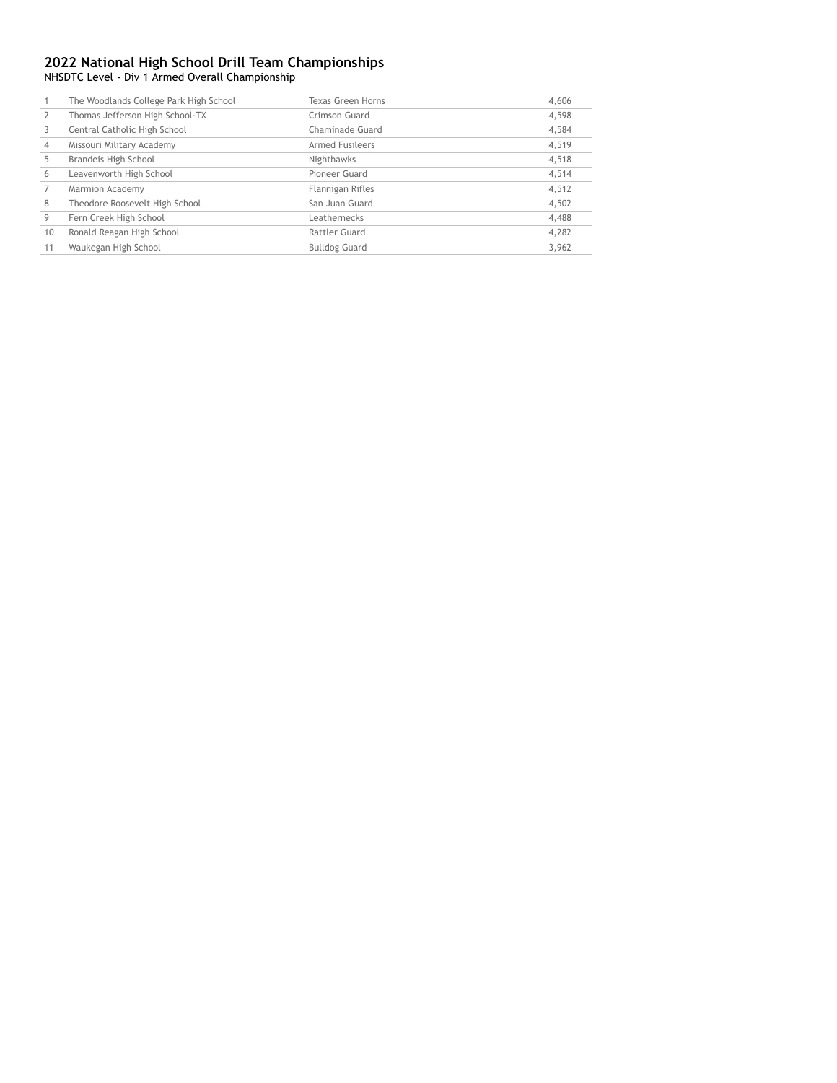NHSDTC Level - Div 1 Armed Overall Championship

|                | The Woodlands College Park High School | Texas Green Horns      | 4,606 |
|----------------|----------------------------------------|------------------------|-------|
|                | Thomas Jefferson High School-TX        | Crimson Guard          | 4.598 |
|                | Central Catholic High School           | Chaminade Guard        | 4,584 |
| $\overline{4}$ | Missouri Military Academy              | <b>Armed Fusileers</b> | 4,519 |
| 5              | Brandeis High School                   | Nighthawks             | 4,518 |
| 6              | Leavenworth High School                | Pioneer Guard          | 4,514 |
|                | Marmion Academy                        | Flannigan Rifles       | 4,512 |
| 8              | Theodore Roosevelt High School         | San Juan Guard         | 4,502 |
| 9              | Fern Creek High School                 | Leathernecks           | 4,488 |
| 10             | Ronald Reagan High School              | Rattler Guard          | 4,282 |
|                | Waukegan High School                   | <b>Bulldog Guard</b>   | 3,962 |
|                |                                        |                        |       |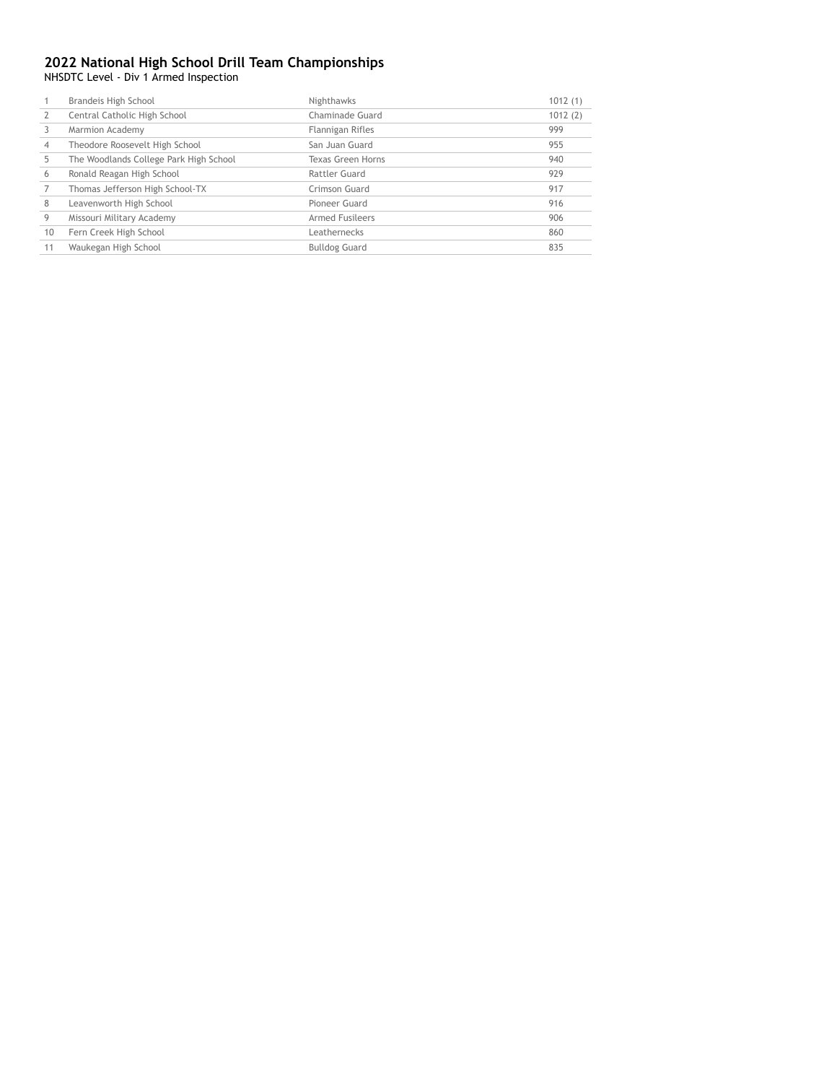NHSDTC Level - Div 1 Armed Inspection

|    | Brandeis High School                   | Nighthawks             | 1012(1) |
|----|----------------------------------------|------------------------|---------|
|    | Central Catholic High School           | Chaminade Guard        | 1012(2) |
|    | Marmion Academy                        | Flannigan Rifles       | 999     |
| 4  | Theodore Roosevelt High School         | San Juan Guard         | 955     |
|    | The Woodlands College Park High School | Texas Green Horns      | 940     |
| 6  | Ronald Reagan High School              | Rattler Guard          | 929     |
|    | Thomas Jefferson High School-TX        | Crimson Guard          | 917     |
| 8  | Leavenworth High School                | Pioneer Guard          | 916     |
| 9  | Missouri Military Academy              | <b>Armed Fusileers</b> | 906     |
| 10 | Fern Creek High School                 | Leathernecks           | 860     |
| 11 | Waukegan High School                   | <b>Bulldog Guard</b>   | 835     |
|    |                                        |                        |         |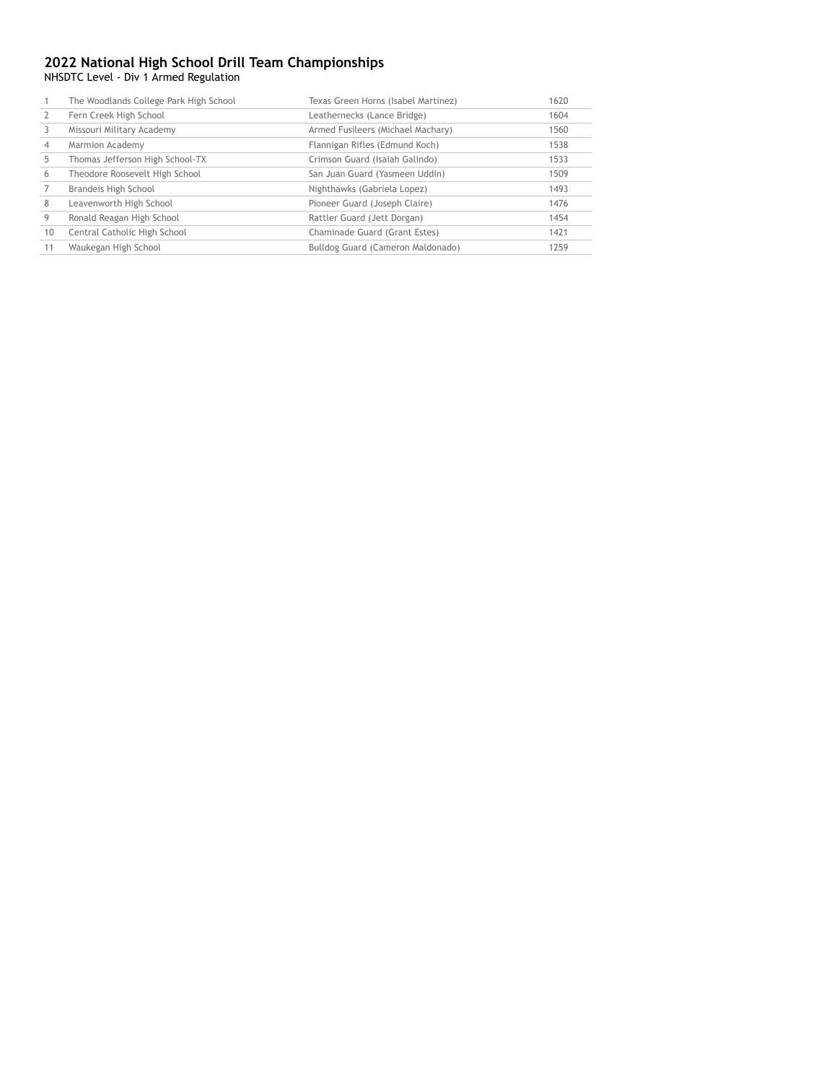NHSDTC Level - Div 1 Armed Regulation

|    | The Woodlands College Park High School | Texas Green Horns (Isabel Martinez) | 1620 |
|----|----------------------------------------|-------------------------------------|------|
|    | Fern Creek High School                 | Leathernecks (Lance Bridge)         | 1604 |
|    | Missouri Military Academy              | Armed Fusileers (Michael Machary)   | 1560 |
|    | Marmion Academy                        | Flannigan Rifles (Edmund Koch)      | 1538 |
| 5  | Thomas Jefferson High School-TX        | Crimson Guard (Isaiah Galindo)      | 1533 |
| 6  | Theodore Roosevelt High School         | San Juan Guard (Yasmeen Uddin)      | 1509 |
|    | Brandeis High School                   | Nighthawks (Gabriela Lopez)         | 1493 |
| 8  | Leavenworth High School                | Pioneer Guard (Joseph Claire)       | 1476 |
|    | Ronald Reagan High School              | Rattler Guard (Jett Dorgan)         | 1454 |
| 10 | Central Catholic High School           | Chaminade Guard (Grant Estes)       | 1421 |
| 11 | Waukegan High School                   | Bulldog Guard (Cameron Maldonado)   | 1259 |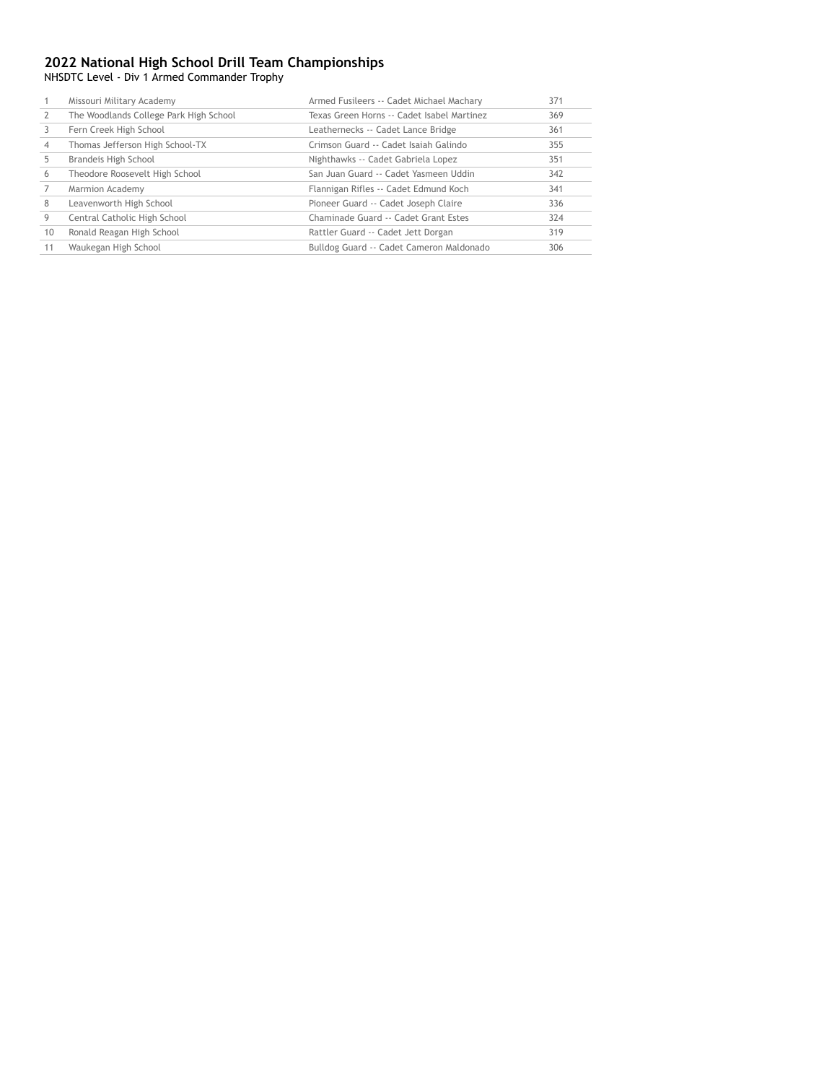NHSDTC Level - Div 1 Armed Commander Trophy

|    | Missouri Military Academy              | Armed Fusileers -- Cadet Michael Machary   | 371 |
|----|----------------------------------------|--------------------------------------------|-----|
|    | The Woodlands College Park High School | Texas Green Horns -- Cadet Isabel Martinez | 369 |
|    | Fern Creek High School                 | Leathernecks -- Cadet Lance Bridge         | 361 |
|    | Thomas Jefferson High School-TX        | Crimson Guard -- Cadet Isajah Galindo      | 355 |
| 5  | Brandeis High School                   | Nighthawks -- Cadet Gabriela Lopez         | 351 |
| 6  | Theodore Roosevelt High School         | San Juan Guard -- Cadet Yasmeen Uddin      | 342 |
|    | Marmion Academy                        | Flannigan Rifles -- Cadet Edmund Koch      | 341 |
| 8  | Leavenworth High School                | Pioneer Guard -- Cadet Joseph Claire       | 336 |
| 9  | Central Catholic High School           | Chaminade Guard -- Cadet Grant Estes       | 324 |
| 10 | Ronald Reagan High School              | Rattler Guard -- Cadet Jett Dorgan         | 319 |
| 11 | Waukegan High School                   | Bulldog Guard -- Cadet Cameron Maldonado   | 306 |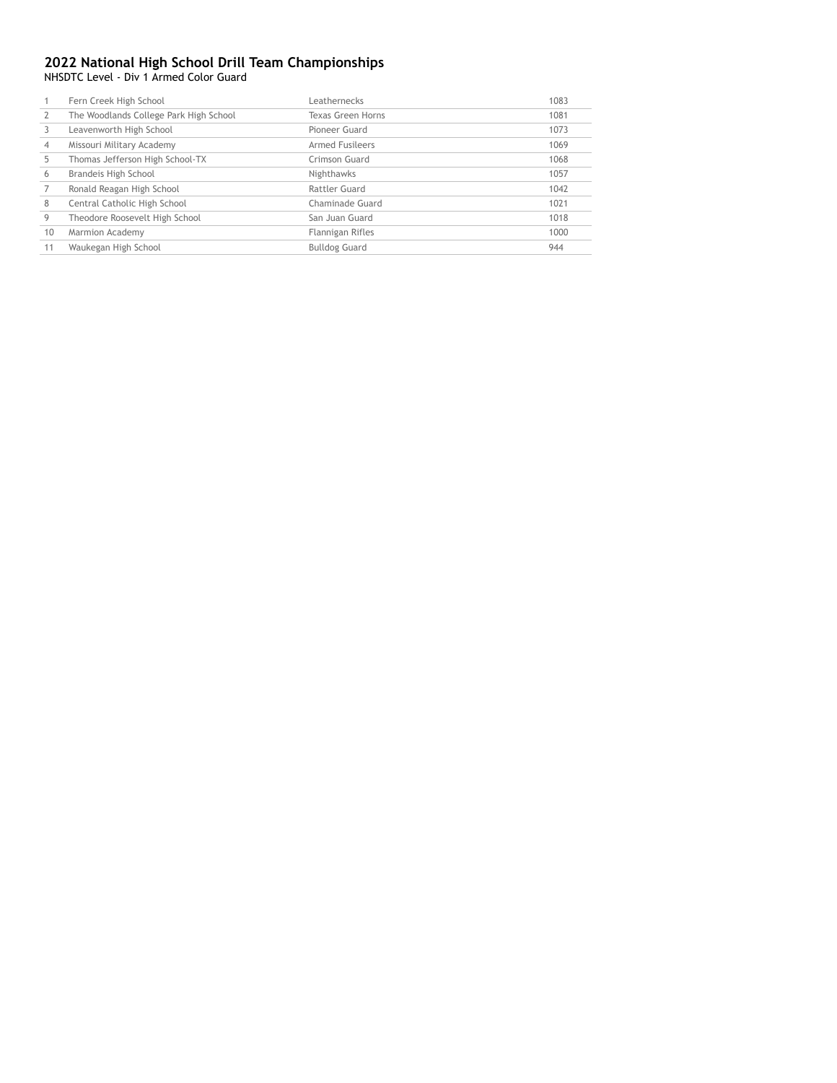NHSDTC Level - Div 1 Armed Color Guard

|    | Fern Creek High School                 | Leathernecks           | 1083 |
|----|----------------------------------------|------------------------|------|
|    | The Woodlands College Park High School | Texas Green Horns      | 1081 |
|    | Leavenworth High School                | Pioneer Guard          | 1073 |
| 4  | Missouri Military Academy              | <b>Armed Fusileers</b> | 1069 |
| 5  | Thomas Jefferson High School-TX        | Crimson Guard          | 1068 |
| 6  | Brandeis High School                   | Nighthawks             | 1057 |
|    | Ronald Reagan High School              | Rattler Guard          | 1042 |
| 8  | Central Catholic High School           | Chaminade Guard        | 1021 |
| 9  | Theodore Roosevelt High School         | San Juan Guard         | 1018 |
| 10 | Marmion Academy                        | Flannigan Rifles       | 1000 |
| 11 | Waukegan High School                   | <b>Bulldog Guard</b>   | 944  |
|    |                                        |                        |      |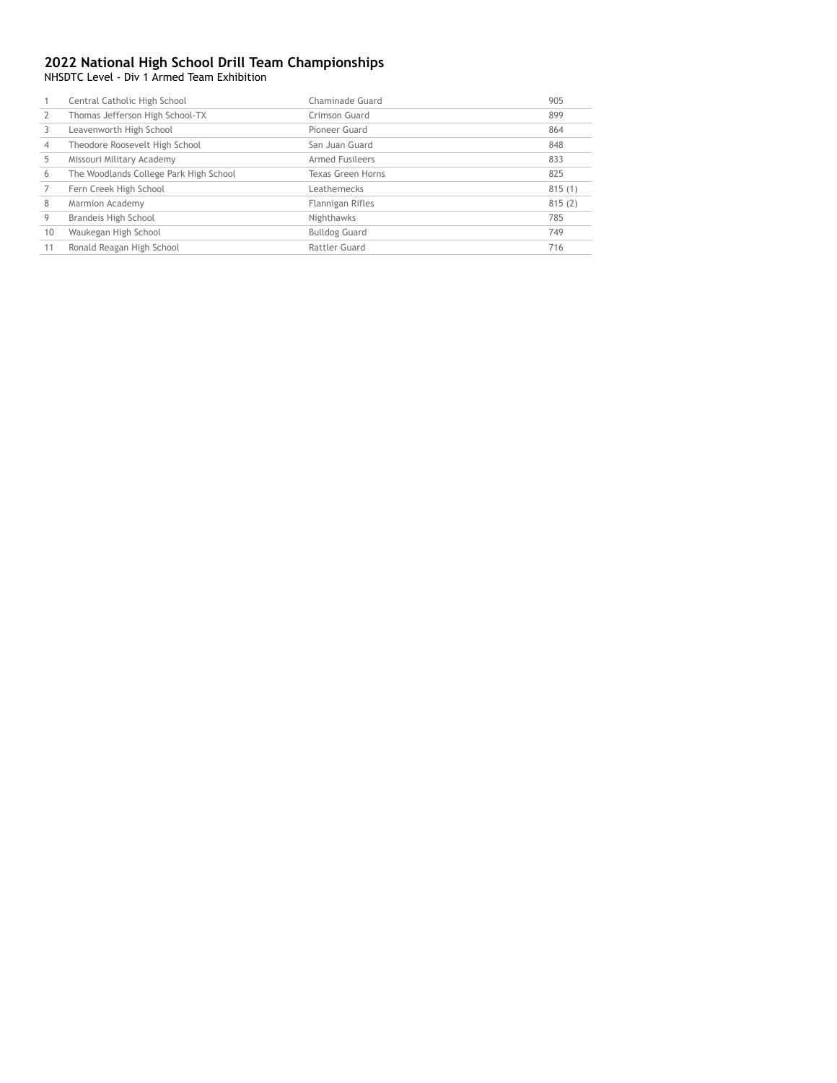NHSDTC Level - Div 1 Armed Team Exhibition

|    | Central Catholic High School           | Chaminade Guard        | 905    |
|----|----------------------------------------|------------------------|--------|
|    | Thomas Jefferson High School-TX        | Crimson Guard          | 899    |
|    | Leavenworth High School                | Pioneer Guard          | 864    |
| 4  | Theodore Roosevelt High School         | San Juan Guard         | 848    |
|    | Missouri Military Academy              | <b>Armed Fusileers</b> | 833    |
| 6  | The Woodlands College Park High School | Texas Green Horns      | 825    |
|    | Fern Creek High School                 | Leathernecks           | 815(1) |
| 8  | Marmion Academy                        | Flannigan Rifles       | 815(2) |
| 9  | Brandeis High School                   | Nighthawks             | 785    |
| 10 | Waukegan High School                   | <b>Bulldog Guard</b>   | 749    |
| 11 | Ronald Reagan High School              | Rattler Guard          | 716    |
|    |                                        |                        |        |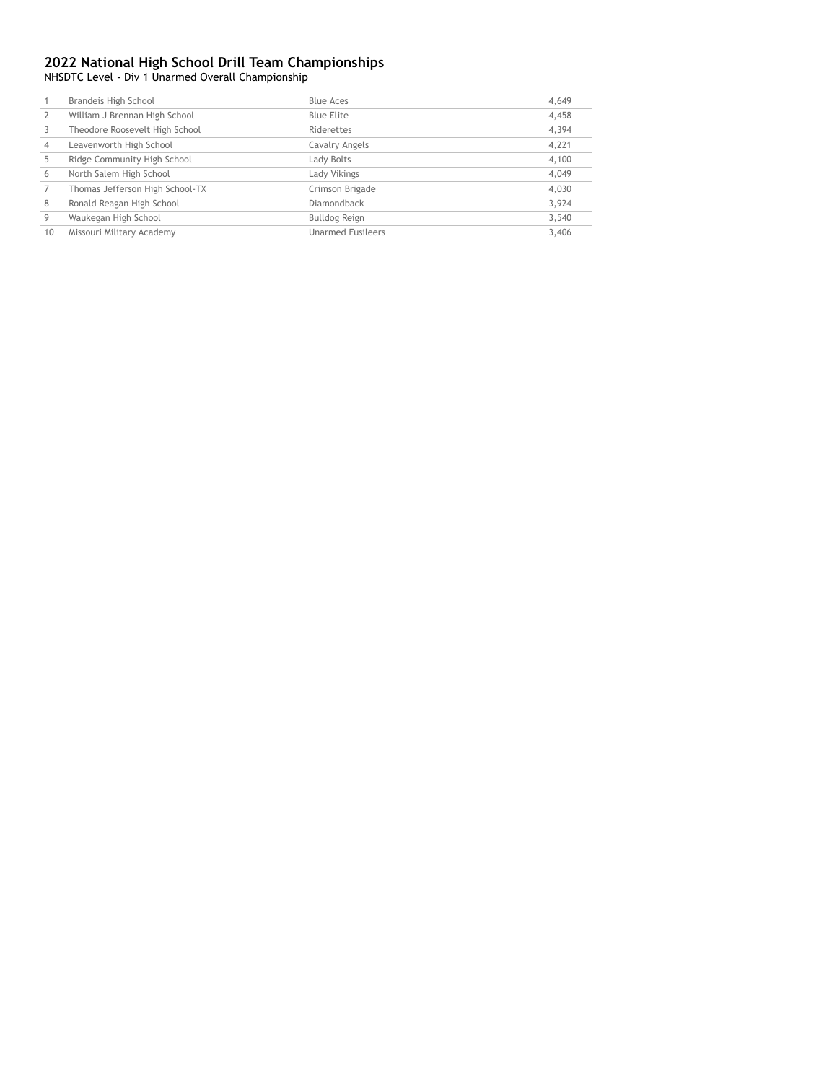NHSDTC Level - Div 1 Unarmed Overall Championship

|                | Brandeis High School            | <b>Blue Aces</b>         | 4,649 |
|----------------|---------------------------------|--------------------------|-------|
|                | William J Brennan High School   | Blue Elite               | 4,458 |
|                | Theodore Roosevelt High School  | Riderettes               | 4,394 |
| $\overline{4}$ | Leavenworth High School         | Cavalry Angels           | 4,221 |
|                | Ridge Community High School     | Lady Bolts               | 4,100 |
| 6              | North Salem High School         | Lady Vikings             | 4,049 |
|                | Thomas Jefferson High School-TX | Crimson Brigade          | 4,030 |
| 8              | Ronald Reagan High School       | Diamondback              | 3,924 |
| 9              | Waukegan High School            | Bulldog Reign            | 3,540 |
| 10             | Missouri Military Academy       | <b>Unarmed Fusileers</b> | 3,406 |
|                |                                 |                          |       |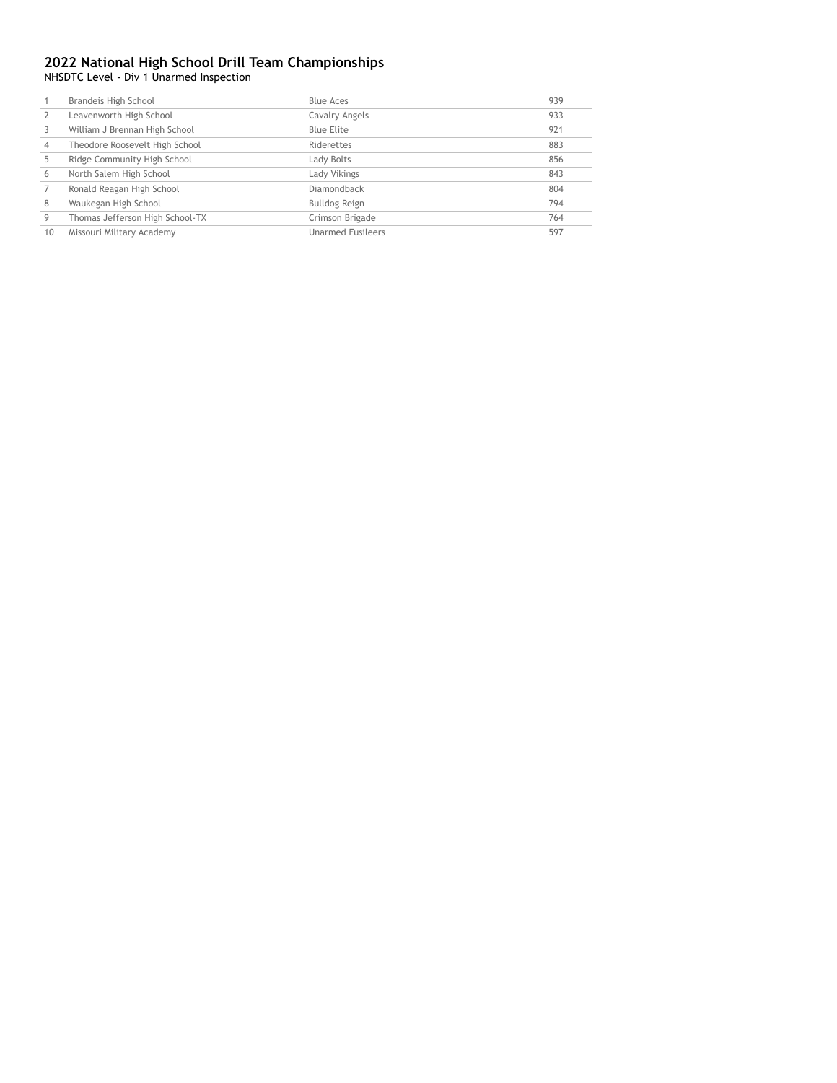NHSDTC Level - Div 1 Unarmed Inspection

|    |                                 |                          | 939 |
|----|---------------------------------|--------------------------|-----|
|    | Leavenworth High School         | Cavalry Angels           | 933 |
|    | William J Brennan High School   | Blue Elite               | 921 |
| 4  | Theodore Roosevelt High School  | Riderettes               | 883 |
|    | Ridge Community High School     | Lady Bolts               | 856 |
| 6  | North Salem High School         | Lady Vikings             | 843 |
|    | Ronald Reagan High School       | Diamondback              | 804 |
| 8  | Waukegan High School            | Bulldog Reign            | 794 |
| 9  | Thomas Jefferson High School-TX | Crimson Brigade          | 764 |
| 10 | Missouri Military Academy       | <b>Unarmed Fusileers</b> | 597 |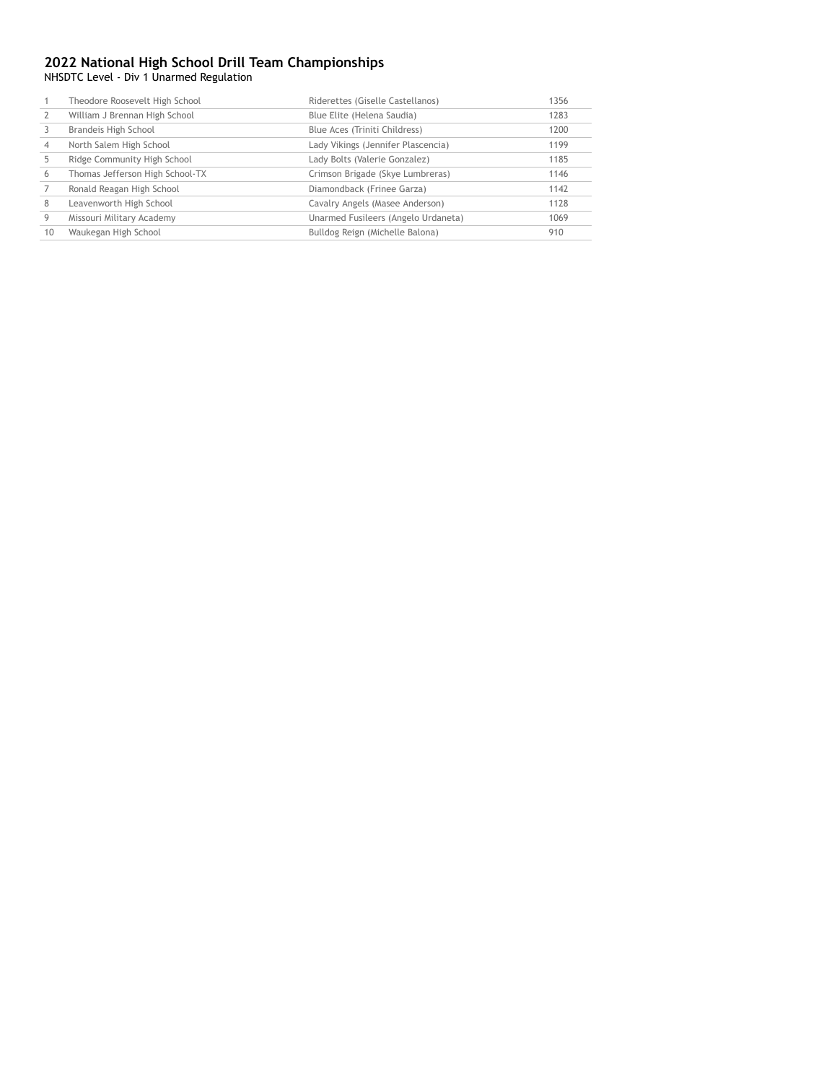NHSDTC Level - Div 1 Unarmed Regulation

|    | Theodore Roosevelt High School  | Riderettes (Giselle Castellanos)    | 1356 |
|----|---------------------------------|-------------------------------------|------|
|    | William J Brennan High School   | Blue Elite (Helena Saudia)          | 1283 |
|    | Brandeis High School            | Blue Aces (Triniti Childress)       | 1200 |
| 4  | North Salem High School         | Lady Vikings (Jennifer Plascencia)  | 1199 |
|    | Ridge Community High School     | Lady Bolts (Valerie Gonzalez)       | 1185 |
| 6  | Thomas Jefferson High School-TX | Crimson Brigade (Skye Lumbreras)    | 1146 |
|    | Ronald Reagan High School       | Diamondback (Frinee Garza)          | 1142 |
| 8  | Leavenworth High School         | Cavalry Angels (Masee Anderson)     | 1128 |
| 9  | Missouri Military Academy       | Unarmed Fusileers (Angelo Urdaneta) | 1069 |
| 10 | Waukegan High School            | Bulldog Reign (Michelle Balona)     | 910  |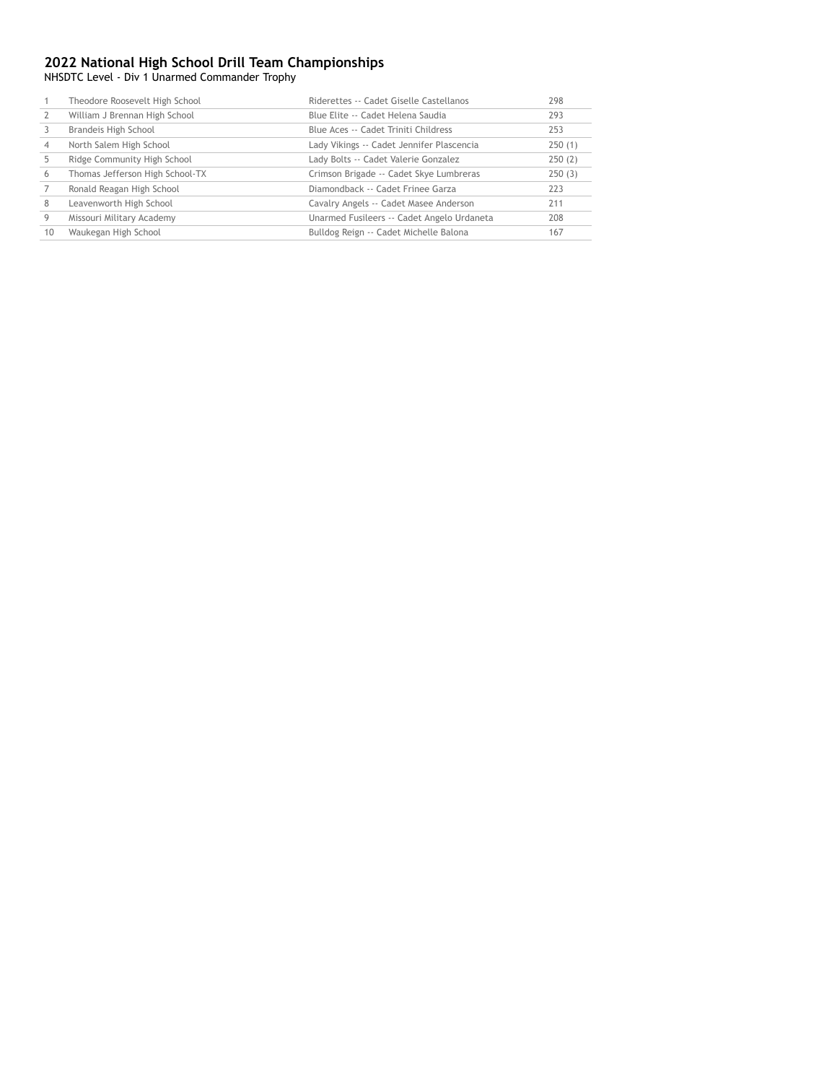NHSDTC Level - Div 1 Unarmed Commander Trophy

|    | Theodore Roosevelt High School  | Riderettes -- Cadet Giselle Castellanos    | 298    |
|----|---------------------------------|--------------------------------------------|--------|
|    | William J Brennan High School   | Blue Elite -- Cadet Helena Saudia          | 293    |
|    | Brandeis High School            | Blue Aces -- Cadet Triniti Childress       | 253    |
| 4  | North Salem High School         | Lady Vikings -- Cadet Jennifer Plascencia  | 250(1) |
|    | Ridge Community High School     | Lady Bolts -- Cadet Valerie Gonzalez       | 250(2) |
| 6  | Thomas Jefferson High School-TX | Crimson Brigade -- Cadet Skye Lumbreras    | 250(3) |
|    | Ronald Reagan High School       | Diamondback -- Cadet Frinee Garza          | 223    |
| 8  | Leavenworth High School         | Cavalry Angels -- Cadet Masee Anderson     | 211    |
| 9  | Missouri Military Academy       | Unarmed Fusileers -- Cadet Angelo Urdaneta | 208    |
| 10 | Waukegan High School            | Bulldog Reign -- Cadet Michelle Balona     | 167    |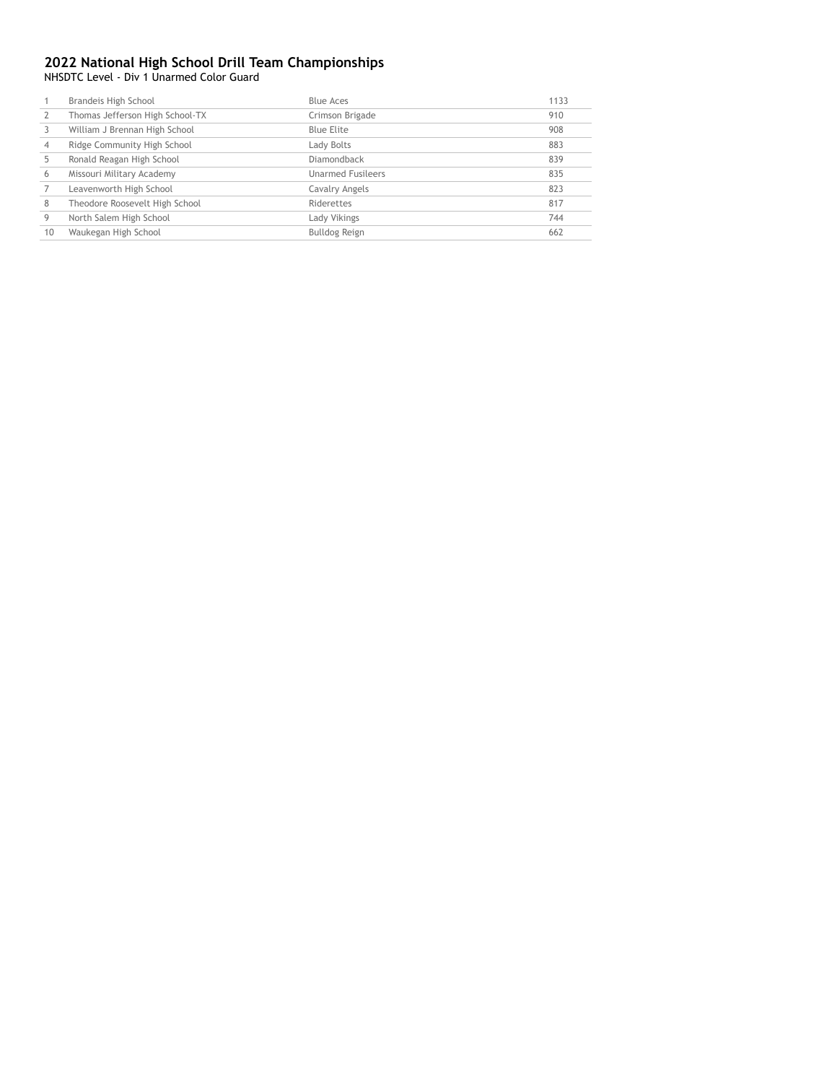NHSDTC Level - Div 1 Unarmed Color Guard

|    | Brandeis High School            | <b>Blue Aces</b>         | 1133 |
|----|---------------------------------|--------------------------|------|
|    | Thomas Jefferson High School-TX | Crimson Brigade          | 910  |
|    | William J Brennan High School   | Blue Elite               | 908  |
|    | Ridge Community High School     | Lady Bolts               | 883  |
|    | Ronald Reagan High School       | Diamondback              | 839  |
| 6  | Missouri Military Academy       | <b>Unarmed Fusileers</b> | 835  |
|    | Leavenworth High School         | Cavalry Angels           | 823  |
| 8  | Theodore Roosevelt High School  | Riderettes               | 817  |
|    | North Salem High School         | Lady Vikings             | 744  |
| 10 | Waukegan High School            | Bulldog Reign            | 662  |